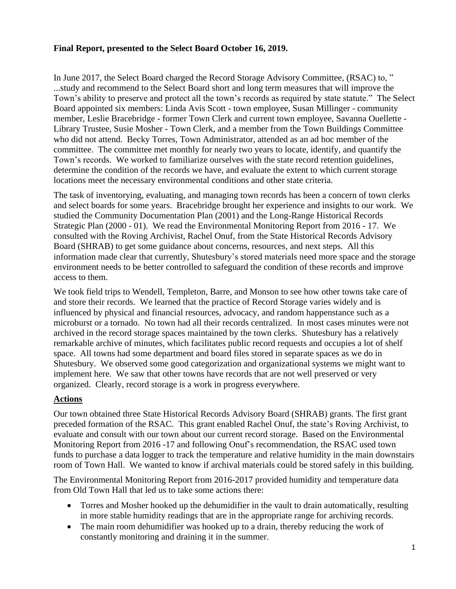## **Final Report, presented to the Select Board October 16, 2019.**

In June 2017, the Select Board charged the Record Storage Advisory Committee, (RSAC) to, " ...study and recommend to the Select Board short and long term measures that will improve the Town's ability to preserve and protect all the town's records as required by state statute." The Select Board appointed six members: Linda Avis Scott - town employee, Susan Millinger - community member, Leslie Bracebridge - former Town Clerk and current town employee, Savanna Ouellette - Library Trustee, Susie Mosher - Town Clerk, and a member from the Town Buildings Committee who did not attend. Becky Torres, Town Administrator, attended as an ad hoc member of the committee. The committee met monthly for nearly two years to locate, identify, and quantify the Town's records. We worked to familiarize ourselves with the state record retention guidelines, determine the condition of the records we have, and evaluate the extent to which current storage locations meet the necessary environmental conditions and other state criteria.

The task of inventorying, evaluating, and managing town records has been a concern of town clerks and select boards for some years. Bracebridge brought her experience and insights to our work. We studied the Community Documentation Plan (2001) and the Long-Range Historical Records Strategic Plan (2000 - 01). We read the Environmental Monitoring Report from 2016 - 17. We consulted with the Roving Archivist, Rachel Onuf, from the State Historical Records Advisory Board (SHRAB) to get some guidance about concerns, resources, and next steps. All this information made clear that currently, Shutesbury's stored materials need more space and the storage environment needs to be better controlled to safeguard the condition of these records and improve access to them.

We took field trips to Wendell, Templeton, Barre, and Monson to see how other towns take care of and store their records. We learned that the practice of Record Storage varies widely and is influenced by physical and financial resources, advocacy, and random happenstance such as a microburst or a tornado. No town had all their records centralized. In most cases minutes were not archived in the record storage spaces maintained by the town clerks. Shutesbury has a relatively remarkable archive of minutes, which facilitates public record requests and occupies a lot of shelf space. All towns had some department and board files stored in separate spaces as we do in Shutesbury. We observed some good categorization and organizational systems we might want to implement here. We saw that other towns have records that are not well preserved or very organized. Clearly, record storage is a work in progress everywhere.

## **Actions**

Our town obtained three State Historical Records Advisory Board (SHRAB) grants. The first grant preceded formation of the RSAC. This grant enabled Rachel Onuf, the state's Roving Archivist, to evaluate and consult with our town about our current record storage. Based on the Environmental Monitoring Report from 2016 -17 and following Onuf's recommendation, the RSAC used town funds to purchase a data logger to track the temperature and relative humidity in the main downstairs room of Town Hall. We wanted to know if archival materials could be stored safely in this building.

The Environmental Monitoring Report from 2016-2017 provided humidity and temperature data from Old Town Hall that led us to take some actions there:

- Torres and Mosher hooked up the dehumidifier in the vault to drain automatically, resulting in more stable humidity readings that are in the appropriate range for archiving records.
- The main room dehumidifier was hooked up to a drain, thereby reducing the work of constantly monitoring and draining it in the summer.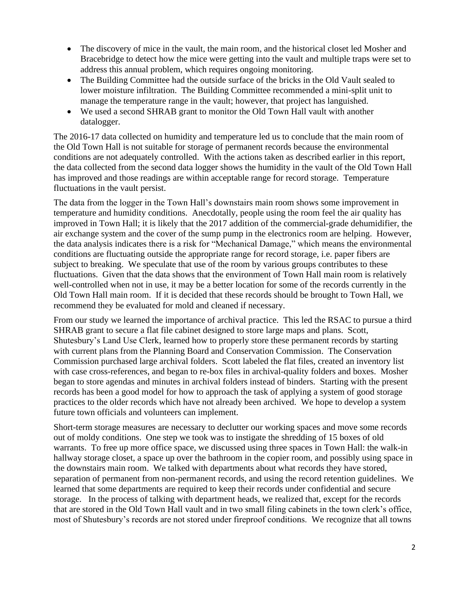- The discovery of mice in the vault, the main room, and the historical closet led Mosher and Bracebridge to detect how the mice were getting into the vault and multiple traps were set to address this annual problem, which requires ongoing monitoring.
- The Building Committee had the outside surface of the bricks in the Old Vault sealed to lower moisture infiltration. The Building Committee recommended a mini-split unit to manage the temperature range in the vault; however, that project has languished.
- We used a second SHRAB grant to monitor the Old Town Hall vault with another datalogger.

The 2016-17 data collected on humidity and temperature led us to conclude that the main room of the Old Town Hall is not suitable for storage of permanent records because the environmental conditions are not adequately controlled. With the actions taken as described earlier in this report, the data collected from the second data logger shows the humidity in the vault of the Old Town Hall has improved and those readings are within acceptable range for record storage. Temperature fluctuations in the vault persist.

The data from the logger in the Town Hall's downstairs main room shows some improvement in temperature and humidity conditions. Anecdotally, people using the room feel the air quality has improved in Town Hall; it is likely that the 2017 addition of the commercial-grade dehumidifier, the air exchange system and the cover of the sump pump in the electronics room are helping. However, the data analysis indicates there is a risk for "Mechanical Damage," which means the environmental conditions are fluctuating outside the appropriate range for record storage, i.e. paper fibers are subject to breaking. We speculate that use of the room by various groups contributes to these fluctuations. Given that the data shows that the environment of Town Hall main room is relatively well-controlled when not in use, it may be a better location for some of the records currently in the Old Town Hall main room. If it is decided that these records should be brought to Town Hall, we recommend they be evaluated for mold and cleaned if necessary.

From our study we learned the importance of archival practice. This led the RSAC to pursue a third SHRAB grant to secure a flat file cabinet designed to store large maps and plans. Scott, Shutesbury's Land Use Clerk, learned how to properly store these permanent records by starting with current plans from the Planning Board and Conservation Commission. The Conservation Commission purchased large archival folders. Scott labeled the flat files, created an inventory list with case cross-references, and began to re-box files in archival-quality folders and boxes. Mosher began to store agendas and minutes in archival folders instead of binders. Starting with the present records has been a good model for how to approach the task of applying a system of good storage practices to the older records which have not already been archived. We hope to develop a system future town officials and volunteers can implement.

Short-term storage measures are necessary to declutter our working spaces and move some records out of moldy conditions. One step we took was to instigate the shredding of 15 boxes of old warrants. To free up more office space, we discussed using three spaces in Town Hall: the walk-in hallway storage closet, a space up over the bathroom in the copier room, and possibly using space in the downstairs main room. We talked with departments about what records they have stored, separation of permanent from non-permanent records, and using the record retention guidelines. We learned that some departments are required to keep their records under confidential and secure storage. In the process of talking with department heads, we realized that, except for the records that are stored in the Old Town Hall vault and in two small filing cabinets in the town clerk's office, most of Shutesbury's records are not stored under fireproof conditions. We recognize that all towns